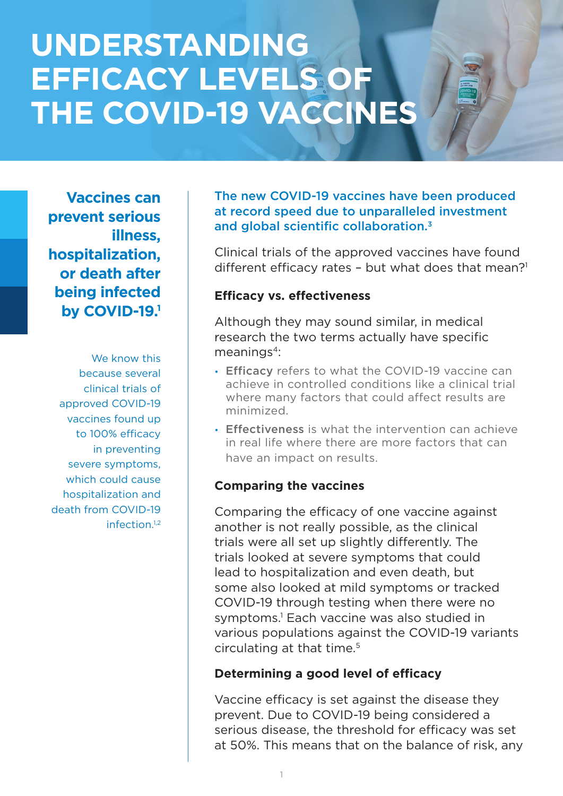# **UNDERSTANDING EFFICACY LEVELS OF THE COVID-19 VACCINES**

**Vaccines can prevent serious illness, hospitalization, or death after being infected by COVID-19.1**

We know this because several clinical trials of approved COVID-19 vaccines found up to 100% efficacy in preventing severe symptoms, which could cause hospitalization and death from COVID-19 infection.1,2

The new COVID-19 vaccines have been produced at record speed due to unparalleled investment and global scientific collaboration.3

Clinical trials of the approved vaccines have found different efficacy rates - but what does that mean?<sup>1</sup>

#### **Efficacy vs. effectiveness**

Although they may sound similar, in medical research the two terms actually have specific  $meaninas<sup>4</sup>$ :

- Efficacy refers to what the COVID-19 vaccine can achieve in controlled conditions like a clinical trial where many factors that could affect results are minimized.
- Effectiveness is what the intervention can achieve in real life where there are more factors that can have an impact on results.

## **Comparing the vaccines**

Comparing the efficacy of one vaccine against another is not really possible, as the clinical trials were all set up slightly differently. The trials looked at severe symptoms that could lead to hospitalization and even death, but some also looked at mild symptoms or tracked COVID-19 through testing when there were no symptoms.1 Each vaccine was also studied in various populations against the COVID-19 variants circulating at that time.5

## **Determining a good level of efficacy**

Vaccine efficacy is set against the disease they prevent. Due to COVID-19 being considered a serious disease, the threshold for efficacy was set at 50%. This means that on the balance of risk, any